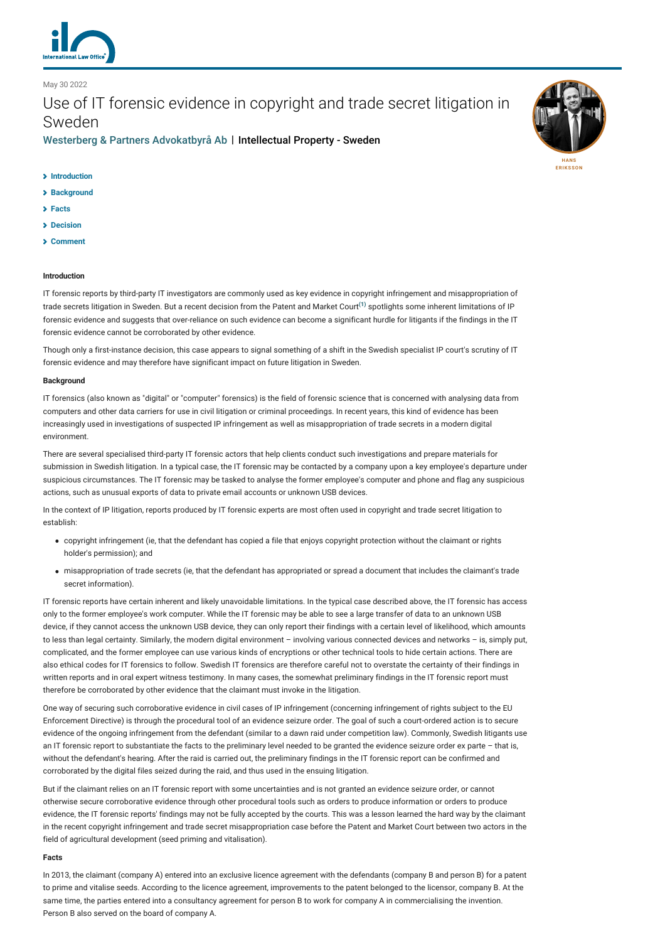

# May 30 2022

Use of IT forensic evidence in copyright and trade secret litigation in Sweden

[Westerberg & Partners Advokatbyrå Ab](http://lexology-legacy.lexology.svc.cluster.local/contributors/1222119) | Intellectual Property - Sweden



- **[Background](#page-0-1)**
- **[Facts](#page-0-2)**
- **[Decision](#page-1-0)**
- **[Comment](#page-1-1)**

# <span id="page-0-0"></span>**Introduction**

IT forensic reports by third-party IT investigators are commonly used as key evidence in copyright infringement and misappropriation of trade secrets litigation in Sweden. But a recent decision from the Patent and Market Court**[\(1\)](#page-2-0)** spotlights some inherent limitations of IP forensic evidence and suggests that over-reliance on such evidence can become a significant hurdle for litigants if the findings in the IT forensic evidence cannot be corroborated by other evidence.

Though only a first-instance decision, this case appears to signal something of a shift in the Swedish specialist IP court's scrutiny of IT forensic evidence and may therefore have significant impact on future litigation in Sweden.

### <span id="page-0-1"></span>**Background**

IT forensics (also known as "digital" or "computer" forensics) is the field of forensic science that is concerned with analysing data from computers and other data carriers for use in civil litigation or criminal proceedings. In recent years, this kind of evidence has been increasingly used in investigations of suspected IP infringement as well as misappropriation of trade secrets in a modern digital environment.

There are several specialised third-party IT forensic actors that help clients conduct such investigations and prepare materials for submission in Swedish litigation. In a typical case, the IT forensic may be contacted by a company upon a key employee's departure under suspicious circumstances. The IT forensic may be tasked to analyse the former employee's computer and phone and flag any suspicious actions, such as unusual exports of data to private email accounts or unknown USB devices.

In the context of IP litigation, reports produced by IT forensic experts are most often used in copyright and trade secret litigation to establish:

- copyright infringement (ie, that the defendant has copied a file that enjoys copyright protection without the claimant or rights holder's permission); and
- misappropriation of trade secrets (ie, that the defendant has appropriated or spread a document that includes the claimant's trade secret information).

IT forensic reports have certain inherent and likely unavoidable limitations. In the typical case described above, the IT forensic has access only to the former employee's work computer. While the IT forensic may be able to see a large transfer of data to an unknown USB device, if they cannot access the unknown USB device, they can only report their findings with a certain level of likelihood, which amounts to less than legal certainty. Similarly, the modern digital environment – involving various connected devices and networks – is, simply put, complicated, and the former employee can use various kinds of encryptions or other technical tools to hide certain actions. There are also ethical codes for IT forensics to follow. Swedish IT forensics are therefore careful not to overstate the certainty of their findings in written reports and in oral expert witness testimony. In many cases, the somewhat preliminary findings in the IT forensic report must therefore be corroborated by other evidence that the claimant must invoke in the litigation.

One way of securing such corroborative evidence in civil cases of IP infringement (concerning infringement of rights subject to the EU Enforcement Directive) is through the procedural tool of an evidence seizure order. The goal of such a court-ordered action is to secure evidence of the ongoing infringement from the defendant (similar to a dawn raid under competition law). Commonly, Swedish litigants use an IT forensic report to substantiate the facts to the preliminary level needed to be granted the evidence seizure order ex parte - that is, without the defendant's hearing. After the raid is carried out, the preliminary findings in the IT forensic report can be confirmed and corroborated by the digital files seized during the raid, and thus used in the ensuing litigation.

But if the claimant relies on an IT forensic report with some uncertainties and is not granted an evidence seizure order, or cannot otherwise secure corroborative evidence through other procedural tools such as orders to produce information or orders to produce evidence, the IT forensic reports' findings may not be fully accepted by the courts. This was a lesson learned the hard way by the claimant in the recent copyright infringement and trade secret misappropriation case before the Patent and Market Court between two actors in the field of agricultural development (seed priming and vitalisation).

### <span id="page-0-2"></span>**Facts**

In 2013, the claimant (company A) entered into an exclusive licence agreement with the defendants (company B and person B) for a patent to prime and vitalise seeds. According to the licence agreement, improvements to the patent belonged to the licensor, company B. At the same time, the parties entered into a consultancy agreement for person B to work for company A in commercialising the invention. Person B also served on the board of company A.

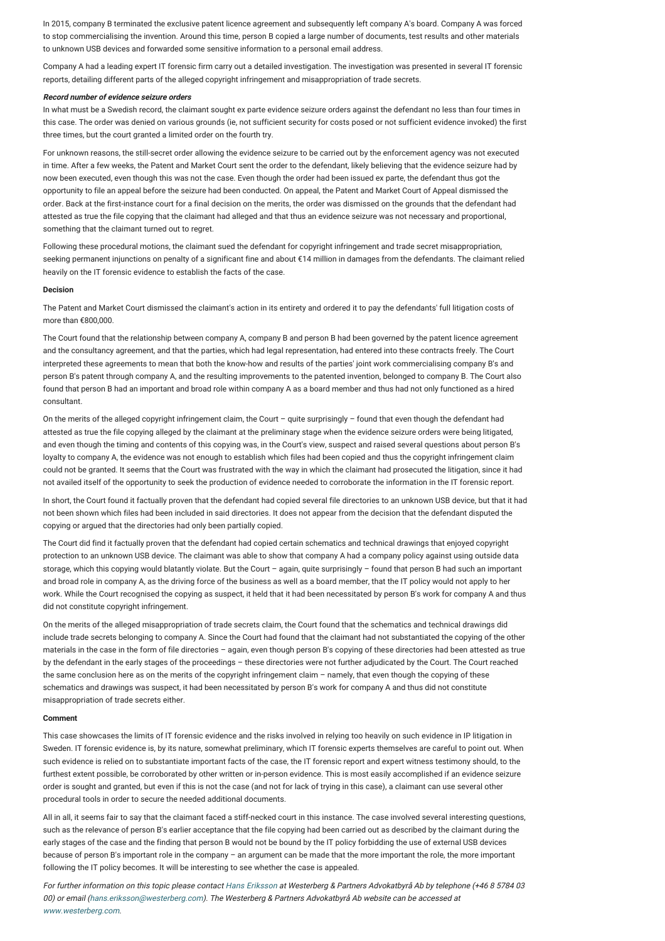In 2015, company B terminated the exclusive patent licence agreement and subsequently left company A's board. Company A was forced to stop commercialising the invention. Around this time, person B copied a large number of documents, test results and other materials to unknown USB devices and forwarded some sensitive information to a personal email address.

Company A had a leading expert IT forensic firm carry out a detailed investigation. The investigation was presented in several IT forensic reports, detailing different parts of the alleged copyright infringement and misappropriation of trade secrets.

### **Record number of evidence seizure orders**

In what must be a Swedish record, the claimant sought ex parte evidence seizure orders against the defendant no less than four times in this case. The order was denied on various grounds (ie, not sufficient security for costs posed or not sufficient evidence invoked) the first three times, but the court granted a limited order on the fourth try.

For unknown reasons, the still-secret order allowing the evidence seizure to be carried out by the enforcement agency was not executed in time. After a few weeks, the Patent and Market Court sent the order to the defendant, likely believing that the evidence seizure had by now been executed, even though this was not the case. Even though the order had been issued ex parte, the defendant thus got the opportunity to file an appeal before the seizure had been conducted. On appeal, the Patent and Market Court of Appeal dismissed the order. Back at the first-instance court for a final decision on the merits, the order was dismissed on the grounds that the defendant had attested as true the file copying that the claimant had alleged and that thus an evidence seizure was not necessary and proportional, something that the claimant turned out to regret.

Following these procedural motions, the claimant sued the defendant for copyright infringement and trade secret misappropriation, seeking permanent injunctions on penalty of a significant fine and about €14 million in damages from the defendants. The claimant relied heavily on the IT forensic evidence to establish the facts of the case.

# <span id="page-1-0"></span>**Decision**

The Patent and Market Court dismissed the claimant's action in its entirety and ordered it to pay the defendants' full litigation costs of more than €800,000.

The Court found that the relationship between company A, company B and person B had been governed by the patent licence agreement and the consultancy agreement, and that the parties, which had legal representation, had entered into these contracts freely. The Court interpreted these agreements to mean that both the know-how and results of the parties' joint work commercialising company B's and person B's patent through company A, and the resulting improvements to the patented invention, belonged to company B. The Court also found that person B had an important and broad role within company A as a board member and thus had not only functioned as a hired consultant.

On the merits of the alleged copyright infringement claim, the Court – quite surprisingly – found that even though the defendant had attested as true the file copying alleged by the claimant at the preliminary stage when the evidence seizure orders were being litigated, and even though the timing and contents of this copying was, in the Court's view, suspect and raised several questions about person B's loyalty to company A, the evidence was not enough to establish which files had been copied and thus the copyright infringement claim could not be granted. It seems that the Court was frustrated with the way in which the claimant had prosecuted the litigation, since it had not availed itself of the opportunity to seek the production of evidence needed to corroborate the information in the IT forensic report.

In short, the Court found it factually proven that the defendant had copied several file directories to an unknown USB device, but that it had not been shown which files had been included in said directories. It does not appear from the decision that the defendant disputed the copying or argued that the directories had only been partially copied.

The Court did find it factually proven that the defendant had copied certain schematics and technical drawings that enjoyed copyright protection to an unknown USB device. The claimant was able to show that company A had a company policy against using outside data storage, which this copying would blatantly violate. But the Court – again, quite surprisingly – found that person B had such an important and broad role in company A, as the driving force of the business as well as a board member, that the IT policy would not apply to her work. While the Court recognised the copying as suspect, it held that it had been necessitated by person B's work for company A and thus did not constitute copyright infringement.

On the merits of the alleged misappropriation of trade secrets claim, the Court found that the schematics and technical drawings did include trade secrets belonging to company A. Since the Court had found that the claimant had not substantiated the copying of the other materials in the case in the form of file directories – again, even though person B's copying of these directories had been attested as true by the defendant in the early stages of the proceedings – these directories were not further adjudicated by the Court. The Court reached the same conclusion here as on the merits of the copyright infringement claim – namely, that even though the copying of these schematics and drawings was suspect, it had been necessitated by person B's work for company A and thus did not constitute misappropriation of trade secrets either.

## <span id="page-1-1"></span>**Comment**

This case showcases the limits of IT forensic evidence and the risks involved in relying too heavily on such evidence in IP litigation in Sweden. IT forensic evidence is, by its nature, somewhat preliminary, which IT forensic experts themselves are careful to point out. When such evidence is relied on to substantiate important facts of the case, the IT forensic report and expert witness testimony should, to the furthest extent possible, be corroborated by other written or in-person evidence. This is most easily accomplished if an evidence seizure order is sought and granted, but even if this is not the case (and not for lack of trying in this case), a claimant can use several other procedural tools in order to secure the needed additional documents.

All in all, it seems fair to say that the claimant faced a stiff-necked court in this instance. The case involved several interesting questions, such as the relevance of person B's earlier acceptance that the file copying had been carried out as described by the claimant during the early stages of the case and the finding that person B would not be bound by the IT policy forbidding the use of external USB devices because of person B's important role in the company – an argument can be made that the more important the role, the more important following the IT policy becomes. It will be interesting to see whether the case is appealed.

For further information on this topic please contact [Hans Eriksson](https://www.internationallawoffice.com/Directory/Advokatfirman-Lindahl/Stockholm/Hans-Eriksson) at Westerberg & Partners Advokatbyrå Ab by telephone (+46 8 5784 03 00) or email [\(hans.eriksson@westerberg.com\)](mailto:hans.eriksson@westerberg.com?subject=ILO%20article). The Westerberg & Partners Advokatbyrå Ab website can be accessed at [www.westerberg.com](https://www.westerberg.com/).